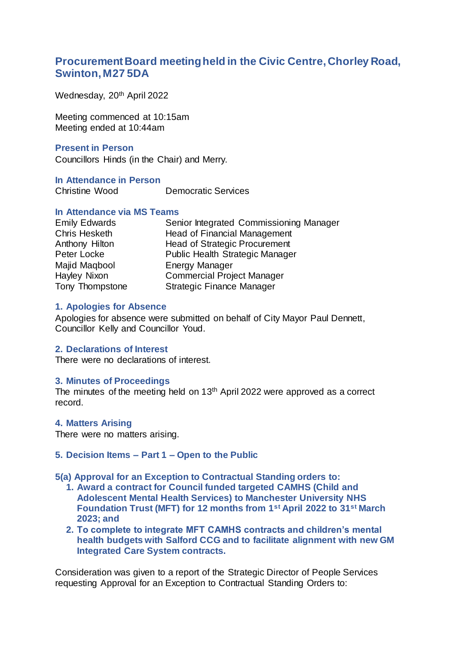# **Procurement Board meeting held in the Civic Centre, Chorley Road, Swinton, M27 5DA**

Wednesday, 20<sup>th</sup> April 2022

Meeting commenced at 10:15am Meeting ended at 10:44am

## **Present in Person**

Councillors Hinds (in the Chair) and Merry.

## **In Attendance in Person**

Christine Wood Democratic Services

## **In Attendance via MS Teams**

| <b>Emily Edwards</b> | Senior Integrated Commissioning Manager |
|----------------------|-----------------------------------------|
| Chris Hesketh        | <b>Head of Financial Management</b>     |
| Anthony Hilton       | <b>Head of Strategic Procurement</b>    |
| Peter Locke          | Public Health Strategic Manager         |
| Majid Maqbool        | <b>Energy Manager</b>                   |
| Hayley Nixon         | <b>Commercial Project Manager</b>       |
| Tony Thompstone      | <b>Strategic Finance Manager</b>        |

#### **1. Apologies for Absence**

Apologies for absence were submitted on behalf of City Mayor Paul Dennett, Councillor Kelly and Councillor Youd.

## **2. Declarations of Interest**

There were no declarations of interest.

### **3. Minutes of Proceedings**

The minutes of the meeting held on  $13<sup>th</sup>$  April 2022 were approved as a correct record.

#### **4. Matters Arising**

There were no matters arising.

#### **5. Decision Items – Part 1 – Open to the Public**

#### **5(a) Approval for an Exception to Contractual Standing orders to:**

- **1. Award a contract for Council funded targeted CAMHS (Child and Adolescent Mental Health Services) to Manchester University NHS Foundation Trust (MFT) for 12 months from 1st April 2022 to 31st March 2023; and**
- **2. To complete to integrate MFT CAMHS contracts and children's mental health budgets with Salford CCG and to facilitate alignment with new GM Integrated Care System contracts.**

Consideration was given to a report of the Strategic Director of People Services requesting Approval for an Exception to Contractual Standing Orders to: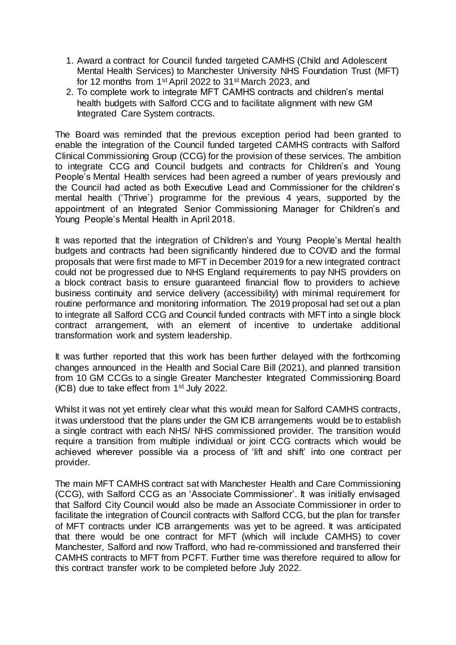- 1. Award a contract for Council funded targeted CAMHS (Child and Adolescent Mental Health Services) to Manchester University NHS Foundation Trust (MFT) for 12 months from 1st April 2022 to 31st March 2023, and
- 2. To complete work to integrate MFT CAMHS contracts and children's mental health budgets with Salford CCG and to facilitate alignment with new GM Integrated Care System contracts.

The Board was reminded that the previous exception period had been granted to enable the integration of the Council funded targeted CAMHS contracts with Salford Clinical Commissioning Group (CCG) for the provision of these services. The ambition to integrate CCG and Council budgets and contracts for Children's and Young People's Mental Health services had been agreed a number of years previously and the Council had acted as both Executive Lead and Commissioner for the children's mental health ('Thrive') programme for the previous 4 years, supported by the appointment of an Integrated Senior Commissioning Manager for Children's and Young People's Mental Health in April 2018.

It was reported that the integration of Children's and Young People's Mental health budgets and contracts had been significantly hindered due to COVID and the formal proposals that were first made to MFT in December 2019 for a new integrated contract could not be progressed due to NHS England requirements to pay NHS providers on a block contract basis to ensure guaranteed financial flow to providers to achieve business continuity and service delivery (accessibility) with minimal requirement for routine performance and monitoring information. The 2019 proposal had set out a plan to integrate all Salford CCG and Council funded contracts with MFT into a single block contract arrangement, with an element of incentive to undertake additional transformation work and system leadership.

It was further reported that this work has been further delayed with the forthcoming changes announced in the Health and Social Care Bill (2021), and planned transition from 10 GM CCGs to a single Greater Manchester Integrated Commissioning Board (ICB) due to take effect from 1st July 2022.

Whilst it was not yet entirely clear what this would mean for Salford CAMHS contracts, it was understood that the plans under the GM ICB arrangements would be to establish a single contract with each NHS/ NHS commissioned provider. The transition would require a transition from multiple individual or joint CCG contracts which would be achieved wherever possible via a process of 'lift and shift' into one contract per provider.

The main MFT CAMHS contract sat with Manchester Health and Care Commissioning (CCG), with Salford CCG as an 'Associate Commissioner'. It was initially envisaged that Salford City Council would also be made an Associate Commissioner in order to facilitate the integration of Council contracts with Salford CCG, but the plan for transfer of MFT contracts under ICB arrangements was yet to be agreed. It was anticipated that there would be one contract for MFT (which will include CAMHS) to cover Manchester, Salford and now Trafford, who had re-commissioned and transferred their CAMHS contracts to MFT from PCFT. Further time was therefore required to allow for this contract transfer work to be completed before July 2022.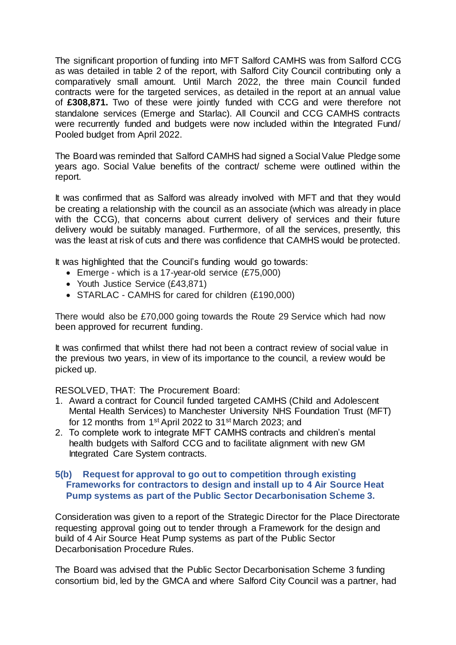The significant proportion of funding into MFT Salford CAMHS was from Salford CCG as was detailed in table 2 of the report, with Salford City Council contributing only a comparatively small amount. Until March 2022, the three main Council funded contracts were for the targeted services, as detailed in the report at an annual value of **£308,871.** Two of these were jointly funded with CCG and were therefore not standalone services (Emerge and Starlac). All Council and CCG CAMHS contracts were recurrently funded and budgets were now included within the Integrated Fund/ Pooled budget from April 2022.

The Board was reminded that Salford CAMHS had signed a Social Value Pledge some years ago. Social Value benefits of the contract/ scheme were outlined within the report.

It was confirmed that as Salford was already involved with MFT and that they would be creating a relationship with the council as an associate (which was already in place with the CCG), that concerns about current delivery of services and their future delivery would be suitably managed. Furthermore, of all the services, presently, this was the least at risk of cuts and there was confidence that CAMHS would be protected.

It was highlighted that the Council's funding would go towards:

- Emerge which is a 17-year-old service (£75,000)
- Youth Justice Service (£43,871)
- STARLAC CAMHS for cared for children (£190,000)

There would also be £70,000 going towards the Route 29 Service which had now been approved for recurrent funding.

It was confirmed that whilst there had not been a contract review of social value in the previous two years, in view of its importance to the council, a review would be picked up.

RESOLVED, THAT: The Procurement Board:

- 1. Award a contract for Council funded targeted CAMHS (Child and Adolescent Mental Health Services) to Manchester University NHS Foundation Trust (MFT) for 12 months from 1st April 2022 to 31st March 2023; and
- 2. To complete work to integrate MFT CAMHS contracts and children's mental health budgets with Salford CCG and to facilitate alignment with new GM Integrated Care System contracts.

## **5(b) Request for approval to go out to competition through existing Frameworks for contractors to design and install up to 4 Air Source Heat Pump systems as part of the Public Sector Decarbonisation Scheme 3.**

Consideration was given to a report of the Strategic Director for the Place Directorate requesting approval going out to tender through a Framework for the design and build of 4 Air Source Heat Pump systems as part of the Public Sector Decarbonisation Procedure Rules.

The Board was advised that the Public Sector Decarbonisation Scheme 3 funding consortium bid, led by the GMCA and where Salford City Council was a partner, had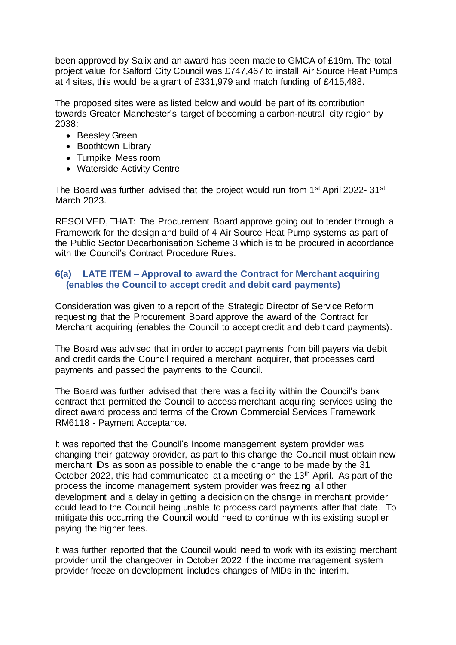been approved by Salix and an award has been made to GMCA of £19m. The total project value for Salford City Council was £747,467 to install Air Source Heat Pumps at 4 sites, this would be a grant of £331,979 and match funding of £415,488.

The proposed sites were as listed below and would be part of its contribution towards Greater Manchester's target of becoming a carbon-neutral city region by 2038:

- Beesley Green
- Boothtown Library
- Turnpike Mess room
- Waterside Activity Centre

The Board was further advised that the project would run from 1<sup>st</sup> April 2022- 31<sup>st</sup> March 2023.

RESOLVED, THAT: The Procurement Board approve going out to tender through a Framework for the design and build of 4 Air Source Heat Pump systems as part of the Public Sector Decarbonisation Scheme 3 which is to be procured in accordance with the Council's Contract Procedure Rules.

## **6(a) LATE ITEM – Approval to award the Contract for Merchant acquiring (enables the Council to accept credit and debit card payments)**

Consideration was given to a report of the Strategic Director of Service Reform requesting that the Procurement Board approve the award of the Contract for Merchant acquiring (enables the Council to accept credit and debit card payments).

The Board was advised that in order to accept payments from bill payers via debit and credit cards the Council required a merchant acquirer, that processes card payments and passed the payments to the Council.

The Board was further advised that there was a facility within the Council's bank contract that permitted the Council to access merchant acquiring services using the direct award process and terms of the Crown Commercial Services Framework RM6118 - Payment Acceptance.

It was reported that the Council's income management system provider was changing their gateway provider, as part to this change the Council must obtain new merchant IDs as soon as possible to enable the change to be made by the 31 October 2022, this had communicated at a meeting on the  $13<sup>th</sup>$  April. As part of the process the income management system provider was freezing all other development and a delay in getting a decision on the change in merchant provider could lead to the Council being unable to process card payments after that date. To mitigate this occurring the Council would need to continue with its existing supplier paying the higher fees.

It was further reported that the Council would need to work with its existing merchant provider until the changeover in October 2022 if the income management system provider freeze on development includes changes of MIDs in the interim.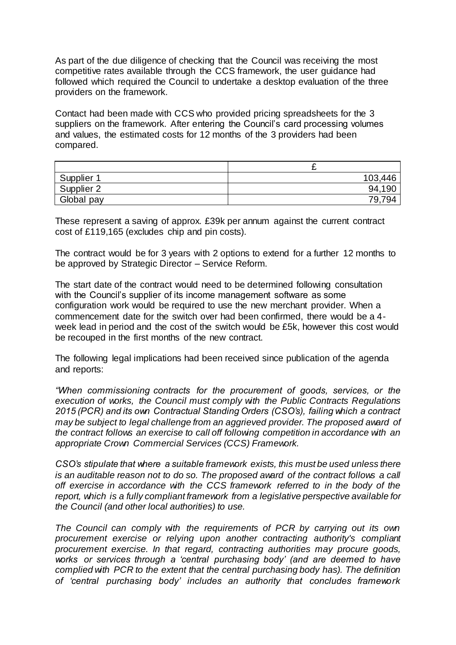As part of the due diligence of checking that the Council was receiving the most competitive rates available through the CCS framework, the user guidance had followed which required the Council to undertake a desktop evaluation of the three providers on the framework.

Contact had been made with CCS who provided pricing spreadsheets for the 3 suppliers on the framework. After entering the Council's card processing volumes and values, the estimated costs for 12 months of the 3 providers had been compared.

|            | -       |
|------------|---------|
| Supplier 1 | 103,446 |
| Supplier 2 | 94,190  |
| Global pay | 79,794  |

These represent a saving of approx. £39k per annum against the current contract cost of £119,165 (excludes chip and pin costs).

The contract would be for 3 years with 2 options to extend for a further 12 months to be approved by Strategic Director – Service Reform.

The start date of the contract would need to be determined following consultation with the Council's supplier of its income management software as some configuration work would be required to use the new merchant provider. When a commencement date for the switch over had been confirmed, there would be a 4 week lead in period and the cost of the switch would be £5k, however this cost would be recouped in the first months of the new contract.

The following legal implications had been received since publication of the agenda and reports:

*"When commissioning contracts for the procurement of goods, services, or the execution of works, the Council must comply with the Public Contracts Regulations 2015 (PCR) and its own Contractual Standing Orders (CSO's), failing which a contract may be subject to legal challenge from an aggrieved provider. The proposed award of the contract follows an exercise to call off following competition in accordance with an appropriate Crown Commercial Services (CCS) Framework.*

*CSO's stipulate that where a suitable framework exists, this must be used unless there is an auditable reason not to do so. The proposed award of the contract follows a call off exercise in accordance with the CCS framework referred to in the body of the report, which is a fully compliant framework from a legislative perspective available for the Council (and other local authorities) to use.*

*The Council can comply with the requirements of PCR by carrying out its own procurement exercise or relying upon another contracting authority's compliant procurement exercise. In that regard, contracting authorities may procure goods, works or services through a 'central purchasing body' (and are deemed to have complied with PCR to the extent that the central purchasing body has). The definition of 'central purchasing body' includes an authority that concludes framework*